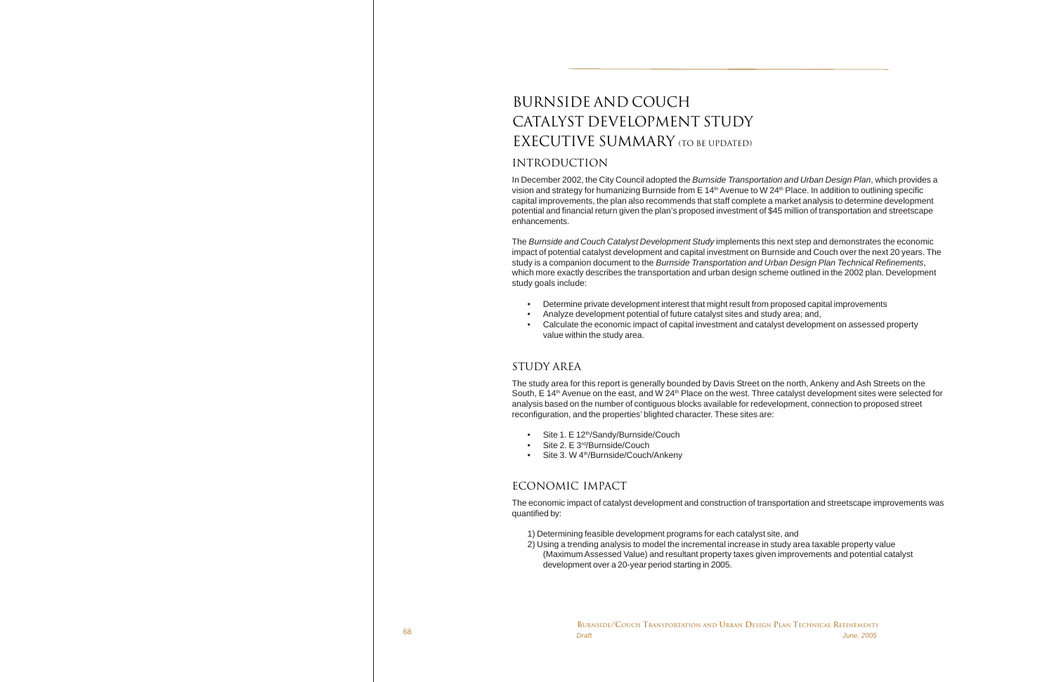# Burnside and couch Catalyst development study EXECUTIVE SUMMARY (TO BE UPDATED)

# INTRODUCTION

In December 2002, the City Council adopted the *Burnside Transportation and Urban Design Plan*, which provides a vision and strategy for humanizing Burnside from E 14<sup>th</sup> Avenue to W 24<sup>th</sup> Place. In addition to outlining specific capital improvements, the plan also recommends that staff complete a market analysis to determine development potential and financial return given the plan's proposed investment of \$45 million of transportation and streetscape enhancements.

The *Burnside and Couch Catalyst Development Study* implements this next step and demonstrates the economic impact of potential catalyst development and capital investment on Burnside and Couch over the next 20 years. The study is a companion document to the *Burnside Transportation and Urban Design Plan Technical Refinements*, which more exactly describes the transportation and urban design scheme outlined in the 2002 plan. Development study goals include:

- Determine private development interest that might result from proposed capital improvements
- Analyze development potential of future catalyst sites and study area; and,
- Calculate the economic impact of capital investment and catalyst development on assessed property value within the study area.

# STUDY AREA

The study area for this report is generally bounded by Davis Street on the north, Ankeny and Ash Streets on the South, E 14<sup>th</sup> Avenue on the east, and W 24<sup>th</sup> Place on the west. Three catalyst development sites were selected for analysis based on the number of contiguous blocks available for redevelopment, connection to proposed street reconfiguration, and the properties' blighted character. These sites are:

- Site 1. E 12<sup>th</sup>/Sandy/Burnside/Couch
- Site 2. E 3<sup>rd</sup>/Burnside/Couch
- Site 3. W 4<sup>th</sup>/Burnside/Couch/Ankeny

# ECONOMIC IMPACT

The economic impact of catalyst development and construction of transportation and streetscape improvements was quantified by:

- 1) Determining feasible development programs for each catalyst site, and
- 2) Using a trending analysis to model the incremental increase in study area taxable property value (Maximum Assessed Value) and resultant property taxes given improvements and potential catalyst development over a 20-year period starting in 2005.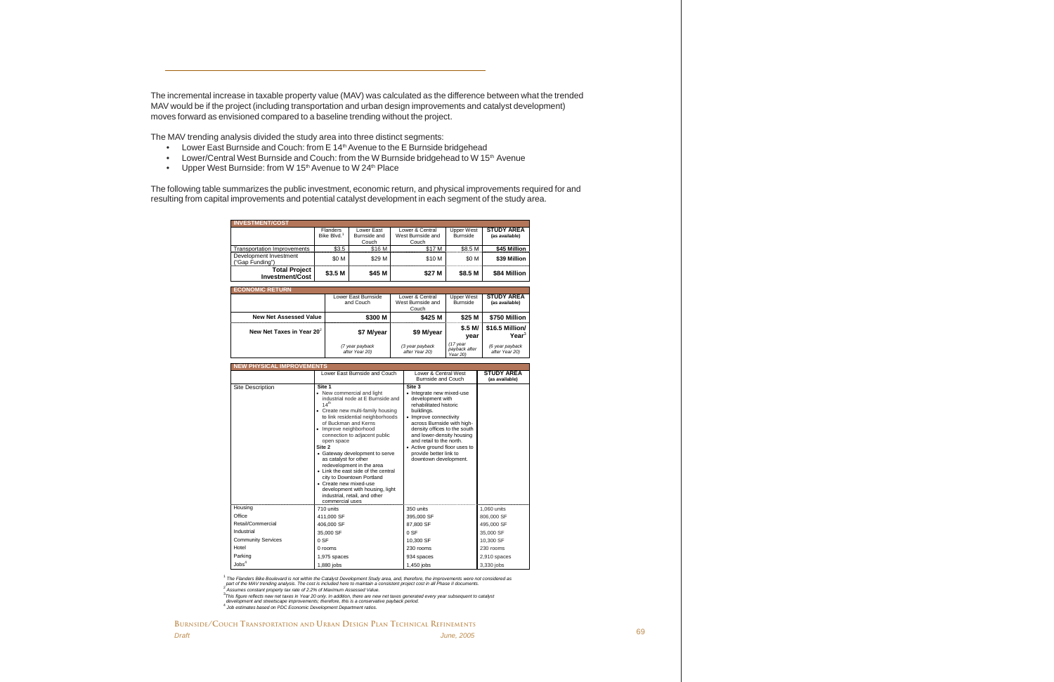The incremental increase in taxable property value (MAV) was calculated as the difference between what the trended MAV would be if the project (including transportation and urban design improvements and catalyst development) moves forward as envisioned compared to a baseline trending without the project.

The MAV trending analysis divided the study area into three distinct segments:

- Lower East Burnside and Couch: from E 14<sup>th</sup> Avenue to the E Burnside bridgehead
- Lower/Central West Burnside and Couch: from the W Burnside bridgehead to W 15<sup>th</sup> Avenue
- Upper West Burnside: from W 15<sup>th</sup> Avenue to W 24<sup>th</sup> Place

The following table summarizes the public investment, economic return, and physical improvements required for and resulting from capital improvements and potential catalyst development in each segment of the study area.

| <b>INVESTMENT/COST</b>                    |                                                                                                                                                                                                                                                                                                                                                                                                                                                                                                                                                                 |                                            |                                   |            |                                                                                                                                                                                                                                                                                                                                      |                                       |                                     |
|-------------------------------------------|-----------------------------------------------------------------------------------------------------------------------------------------------------------------------------------------------------------------------------------------------------------------------------------------------------------------------------------------------------------------------------------------------------------------------------------------------------------------------------------------------------------------------------------------------------------------|--------------------------------------------|-----------------------------------|------------|--------------------------------------------------------------------------------------------------------------------------------------------------------------------------------------------------------------------------------------------------------------------------------------------------------------------------------------|---------------------------------------|-------------------------------------|
|                                           |                                                                                                                                                                                                                                                                                                                                                                                                                                                                                                                                                                 | <b>Flanders</b><br>Bike Blvd. <sup>1</sup> | Lower East<br>Burnside and        |            | Lower & Central<br>West Burnside and                                                                                                                                                                                                                                                                                                 | <b>Upper West</b><br><b>Burnside</b>  | <b>STUDY AREA</b><br>(as available) |
|                                           |                                                                                                                                                                                                                                                                                                                                                                                                                                                                                                                                                                 |                                            | Couch                             |            | Couch                                                                                                                                                                                                                                                                                                                                |                                       |                                     |
| <b>Transportation Improvements</b>        |                                                                                                                                                                                                                                                                                                                                                                                                                                                                                                                                                                 | \$3.5                                      | \$16 M                            |            | \$17 M                                                                                                                                                                                                                                                                                                                               | \$8.5 M                               | \$45 Million                        |
| Development Investment<br>("Gap Funding") |                                                                                                                                                                                                                                                                                                                                                                                                                                                                                                                                                                 | \$0 M                                      | \$29 M                            |            | \$10 M                                                                                                                                                                                                                                                                                                                               | \$0 M                                 | \$39 Million                        |
| <b>Total Project</b><br>Investment/Cost   |                                                                                                                                                                                                                                                                                                                                                                                                                                                                                                                                                                 | \$3.5 M                                    | \$45 M                            |            | \$27 M                                                                                                                                                                                                                                                                                                                               | \$8.5 M                               | \$84 Million                        |
|                                           |                                                                                                                                                                                                                                                                                                                                                                                                                                                                                                                                                                 |                                            |                                   |            |                                                                                                                                                                                                                                                                                                                                      |                                       |                                     |
| <b>ECONOMIC RETURN</b>                    |                                                                                                                                                                                                                                                                                                                                                                                                                                                                                                                                                                 |                                            |                                   |            |                                                                                                                                                                                                                                                                                                                                      |                                       |                                     |
|                                           |                                                                                                                                                                                                                                                                                                                                                                                                                                                                                                                                                                 |                                            | Lower East Burnside<br>and Couch  |            | Lower & Central<br>West Burnside and<br>Couch                                                                                                                                                                                                                                                                                        | <b>Upper West</b><br><b>Burnside</b>  | <b>STUDY AREA</b><br>(as available) |
| <b>New Net Assessed Value</b>             |                                                                                                                                                                                                                                                                                                                                                                                                                                                                                                                                                                 | \$300 M                                    |                                   |            | \$425 M                                                                                                                                                                                                                                                                                                                              | \$25 M                                | \$750 Million                       |
| New Net Taxes in Year 20 $2$              |                                                                                                                                                                                                                                                                                                                                                                                                                                                                                                                                                                 | \$7 M/year                                 |                                   |            |                                                                                                                                                                                                                                                                                                                                      | \$.5 M/                               | \$16.5 Million/                     |
|                                           |                                                                                                                                                                                                                                                                                                                                                                                                                                                                                                                                                                 |                                            |                                   | \$9 M/year |                                                                                                                                                                                                                                                                                                                                      | year                                  | Year <sup>3</sup>                   |
|                                           |                                                                                                                                                                                                                                                                                                                                                                                                                                                                                                                                                                 |                                            | (7 year payback<br>after Year 20) |            | (3 year payback<br>after Year 20)                                                                                                                                                                                                                                                                                                    | (17 year<br>payback after<br>Year 20) | (6 year payback<br>after Year 20)   |
| <b>NEW PHYSICAL IMPROVEMENTS</b>          |                                                                                                                                                                                                                                                                                                                                                                                                                                                                                                                                                                 |                                            |                                   |            |                                                                                                                                                                                                                                                                                                                                      |                                       |                                     |
|                                           |                                                                                                                                                                                                                                                                                                                                                                                                                                                                                                                                                                 |                                            | Lower East Burnside and Couch     |            | Lower & Central West                                                                                                                                                                                                                                                                                                                 |                                       | <b>STUDY AREA</b>                   |
|                                           |                                                                                                                                                                                                                                                                                                                                                                                                                                                                                                                                                                 |                                            |                                   |            | <b>Burnside and Couch</b>                                                                                                                                                                                                                                                                                                            |                                       | (as available)                      |
| Site Description                          | Site 1<br>• New commercial and light<br>industrial node at E Burnside and<br>14 <sup>th</sup><br>• Create new multi-family housing<br>to link residential neighborhoods<br>of Buckman and Kerns<br>• Improve neighborhood<br>connection to adjacent public<br>open space<br>Site 2<br>• Gateway development to serve<br>as catalyst for other<br>redevelopment in the area<br>• Link the east side of the central<br>city to Downtown Portland<br>• Create new mixed-use<br>development with housing, light<br>industrial, retail, and other<br>commercial uses |                                            |                                   |            | Site 3<br>• Integrate new mixed-use<br>development with<br>rehabilitated historic<br>buildings.<br>• Improve connectivity<br>across Burnside with high-<br>density offices to the south<br>and lower-density housing<br>and retail to the north.<br>• Active ground floor uses to<br>provide better link to<br>downtown development. |                                       |                                     |
| Housing                                   |                                                                                                                                                                                                                                                                                                                                                                                                                                                                                                                                                                 | 710 units                                  |                                   |            | 350 units                                                                                                                                                                                                                                                                                                                            |                                       | 1,060 units                         |
| Office                                    |                                                                                                                                                                                                                                                                                                                                                                                                                                                                                                                                                                 | 411,000 SF                                 |                                   | 395,000 SF |                                                                                                                                                                                                                                                                                                                                      | 806,000 SF                            |                                     |
| Retail/Commercial                         |                                                                                                                                                                                                                                                                                                                                                                                                                                                                                                                                                                 | 406,000 SF                                 |                                   | 87,800 SF  |                                                                                                                                                                                                                                                                                                                                      | 495,000 SF                            |                                     |
| Industrial                                |                                                                                                                                                                                                                                                                                                                                                                                                                                                                                                                                                                 | 35,000 SF                                  |                                   |            | 0 SF                                                                                                                                                                                                                                                                                                                                 |                                       | 35,000 SF                           |
| <b>Community Services</b>                 |                                                                                                                                                                                                                                                                                                                                                                                                                                                                                                                                                                 | $0S$ F                                     |                                   |            | 10,300 SF                                                                                                                                                                                                                                                                                                                            |                                       | 10,300 SF                           |
| Hotel                                     |                                                                                                                                                                                                                                                                                                                                                                                                                                                                                                                                                                 | 0 rooms                                    |                                   |            | 230 rooms                                                                                                                                                                                                                                                                                                                            |                                       | 230 rooms                           |
| Parking                                   |                                                                                                                                                                                                                                                                                                                                                                                                                                                                                                                                                                 | 1,975 spaces                               |                                   |            | 934 spaces                                                                                                                                                                                                                                                                                                                           |                                       | 2,910 spaces                        |
| Jobs <sup>4</sup>                         |                                                                                                                                                                                                                                                                                                                                                                                                                                                                                                                                                                 | 1,880 jobs                                 |                                   |            | 1,450 jobs                                                                                                                                                                                                                                                                                                                           |                                       | 3,330 jobs                          |

<sup>1</sup> The Flanders Bike Boulevard is not within the Catalyst Development Study area, and, therefore, the improvements were not considered as<br>- part of the MAV trending analysis. The cost is included here to maintain a consi  *Assumes constant property tax rate of 2.2% of Maximum Assessed Value.* 

3 *This figure reflects new net taxes in Year 20 only. In addition, there are new net taxes generated every year subsequent to catalyst* 

*development and streetscape improvements; therefore, this is a conservative payback period.*  4  *Job estimates based on PDC Economic Development Department ratios.*

**BURNSIDE/COUCH TRANSPORTATION AND URBAN DESIGN PLAN TECHNICAL REFINEMENTS** *Draft June, 2005* 69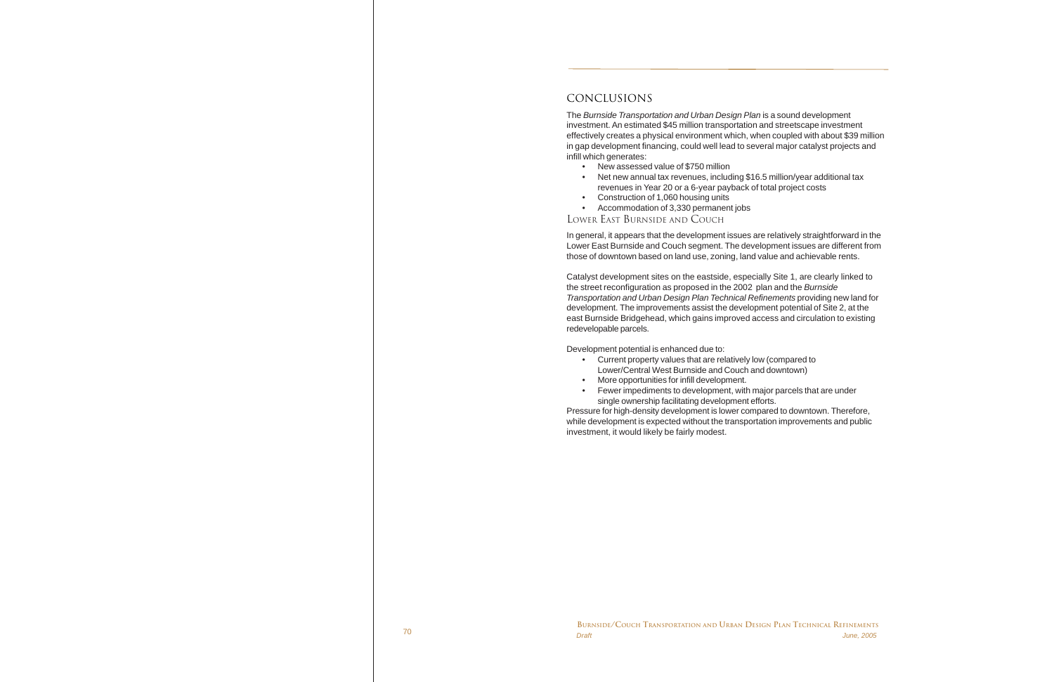### CONCLUSIONS

The *Burnside Transportation and Urban Design Plan* is a sound development investment. An estimated \$45 million transportation and streetscape investment effectively creates a physical environment which, when coupled with about \$39 million in gap development financing, could well lead to several major catalyst projects and infill which generates:

- New assessed value of \$750 million
- Net new annual tax revenues, including \$16.5 million/year additional tax revenues in Year 20 or a 6-year payback of total project costs
- Construction of 1,060 housing units
- Accommodation of 3,330 permanent jobs

LOWER EAST BURNSIDE AND COUCH

In general, it appears that the development issues are relatively straightforward in the Lower East Burnside and Couch segment. The development issues are different from those of downtown based on land use, zoning, land value and achievable rents.

Catalyst development sites on the eastside, especially Site 1, are clearly linked to the street reconfiguration as proposed in the 2002 plan and the *Burnside Transportation and Urban Design Plan Technical Refinements* providing new land for development. The improvements assist the development potential of Site 2, at the east Burnside Bridgehead, which gains improved access and circulation to existing redevelopable parcels.

Development potential is enhanced due to:

- Current property values that are relatively low (compared to Lower/Central West Burnside and Couch and downtown)
- More opportunities for infill development.
- Fewer impediments to development, with major parcels that are under single ownership facilitating development efforts.

Pressure for high-density development is lower compared to downtown. Therefore, while development is expected without the transportation improvements and public investment, it would likely be fairly modest.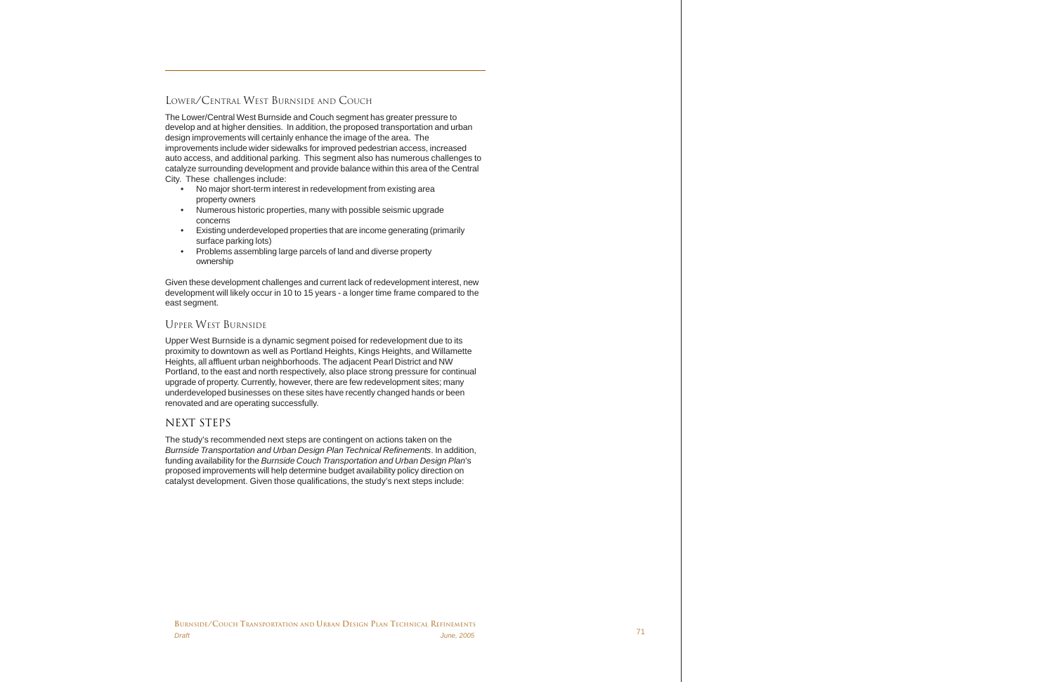### LOWER/CENTRAL WEST BURNSIDE AND COUCH

The Lower/Central West Burnside and Couch segment has greater pressure to develop and at higher densities. In addition, the proposed transportation and urban design improvements will certainly enhance the image of the area. The improvements include wider sidewalks for improved pedestrian access, increased auto access, and additional parking. This segment also has numerous challenges to catalyze surrounding development and provide balance within this area of the Central City. These challenges include:

- No major short-term interest in redevelopment from existing area property owners
- Numerous historic properties, many with possible seismic upgrade concerns
- Existing underdeveloped properties that are income generating (primarily surface parking lots)
- Problems assembling large parcels of land and diverse property ownership

Given these development challenges and current lack of redevelopment interest, new development will likely occur in 10 to 15 years - a longer time frame compared to the east segment.

#### UPPER WEST BURNSIDE

Upper West Burnside is a dynamic segment poised for redevelopment due to its proximity to downtown as well as Portland Heights, Kings Heights, and Willamette Heights, all affluent urban neighborhoods. The adjacent Pearl District and NW Portland, to the east and north respectively, also place strong pressure for continual upgrade of property. Currently, however, there are few redevelopment sites; many underdeveloped businesses on these sites have recently changed hands or been renovated and are operating successfully.

#### NEXT STEPS

The study's recommended next steps are contingent on actions taken on the *Burnside Transportation and Urban Design Plan Technical Refinements*. In addition, funding availability for the *Burnside Couch Transportation and Urban Design Plan*'s proposed improvements will help determine budget availability policy direction on catalyst development. Given those qualifications, the study's next steps include: